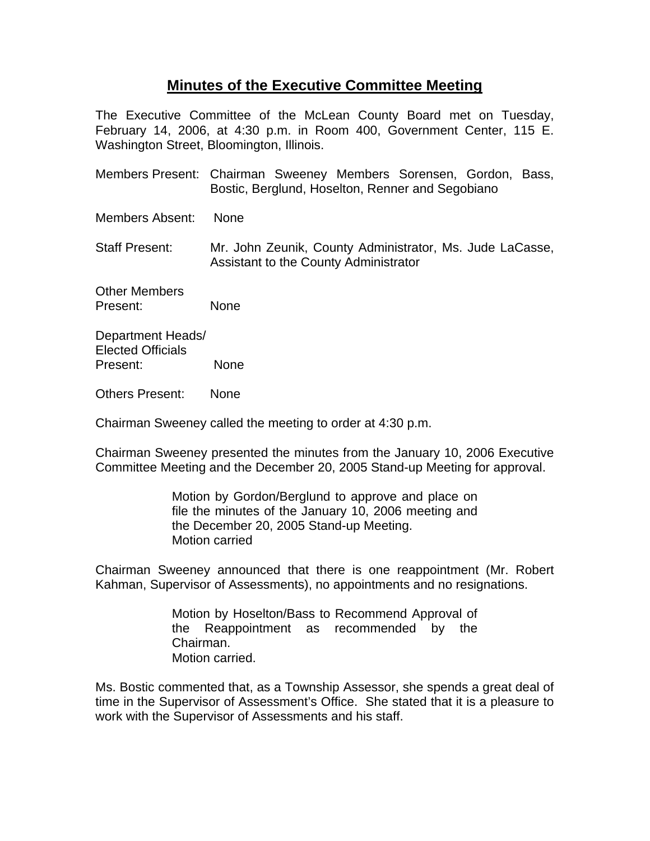## **Minutes of the Executive Committee Meeting**

The Executive Committee of the McLean County Board met on Tuesday, February 14, 2006, at 4:30 p.m. in Room 400, Government Center, 115 E. Washington Street, Bloomington, Illinois.

- Members Present: Chairman Sweeney Members Sorensen, Gordon, Bass, Bostic, Berglund, Hoselton, Renner and Segobiano
- Members Absent: None
- Staff Present: Mr. John Zeunik, County Administrator, Ms. Jude LaCasse, Assistant to the County Administrator

Other Members Present: None

Department Heads/ Elected Officials Present: None

Others Present: None

Chairman Sweeney called the meeting to order at 4:30 p.m.

Chairman Sweeney presented the minutes from the January 10, 2006 Executive Committee Meeting and the December 20, 2005 Stand-up Meeting for approval.

> Motion by Gordon/Berglund to approve and place on file the minutes of the January 10, 2006 meeting and the December 20, 2005 Stand-up Meeting. Motion carried

Chairman Sweeney announced that there is one reappointment (Mr. Robert Kahman, Supervisor of Assessments), no appointments and no resignations.

> Motion by Hoselton/Bass to Recommend Approval of the Reappointment as recommended by the Chairman. Motion carried.

Ms. Bostic commented that, as a Township Assessor, she spends a great deal of time in the Supervisor of Assessment's Office. She stated that it is a pleasure to work with the Supervisor of Assessments and his staff.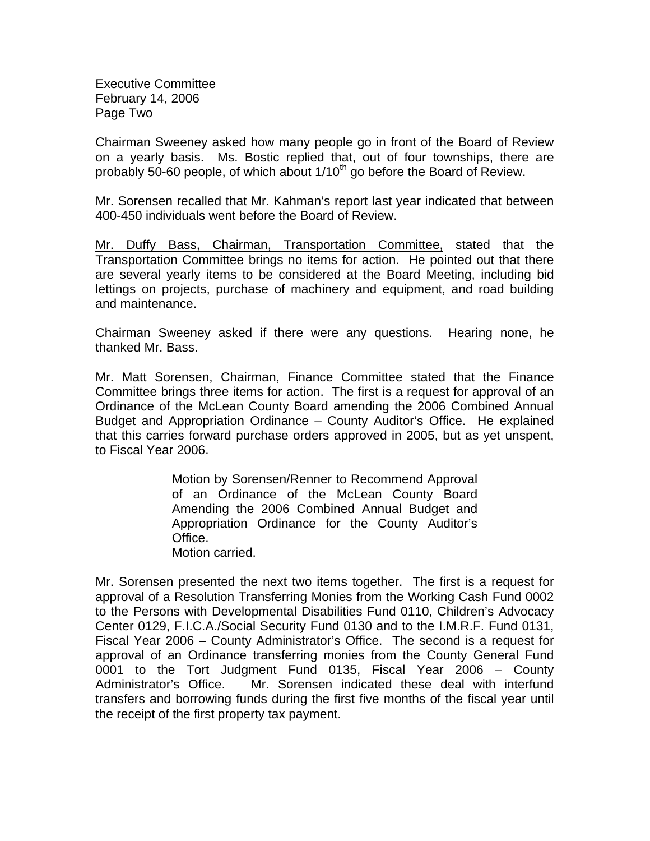Executive Committee February 14, 2006 Page Two

Chairman Sweeney asked how many people go in front of the Board of Review on a yearly basis. Ms. Bostic replied that, out of four townships, there are probably 50-60 people, of which about  $1/10<sup>th</sup>$  go before the Board of Review.

Mr. Sorensen recalled that Mr. Kahman's report last year indicated that between 400-450 individuals went before the Board of Review.

Mr. Duffy Bass, Chairman, Transportation Committee, stated that the Transportation Committee brings no items for action. He pointed out that there are several yearly items to be considered at the Board Meeting, including bid lettings on projects, purchase of machinery and equipment, and road building and maintenance.

Chairman Sweeney asked if there were any questions. Hearing none, he thanked Mr. Bass.

Mr. Matt Sorensen, Chairman, Finance Committee stated that the Finance Committee brings three items for action. The first is a request for approval of an Ordinance of the McLean County Board amending the 2006 Combined Annual Budget and Appropriation Ordinance – County Auditor's Office. He explained that this carries forward purchase orders approved in 2005, but as yet unspent, to Fiscal Year 2006.

> Motion by Sorensen/Renner to Recommend Approval of an Ordinance of the McLean County Board Amending the 2006 Combined Annual Budget and Appropriation Ordinance for the County Auditor's Office. Motion carried.

Mr. Sorensen presented the next two items together. The first is a request for approval of a Resolution Transferring Monies from the Working Cash Fund 0002 to the Persons with Developmental Disabilities Fund 0110, Children's Advocacy Center 0129, F.I.C.A./Social Security Fund 0130 and to the I.M.R.F. Fund 0131, Fiscal Year 2006 – County Administrator's Office. The second is a request for approval of an Ordinance transferring monies from the County General Fund 0001 to the Tort Judgment Fund 0135, Fiscal Year 2006 – County Administrator's Office. Mr. Sorensen indicated these deal with interfund transfers and borrowing funds during the first five months of the fiscal year until the receipt of the first property tax payment.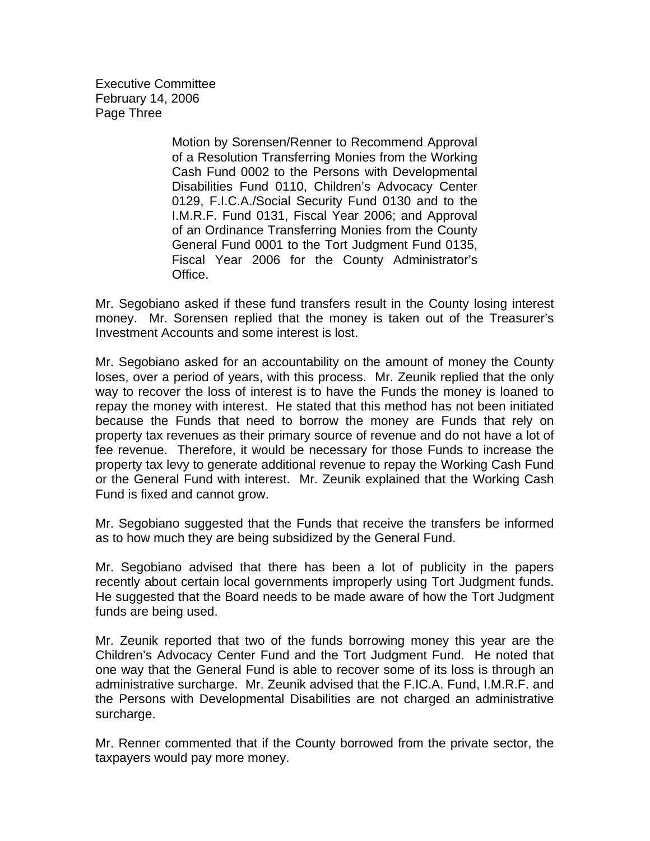Executive Committee February 14, 2006 Page Three

> Motion by Sorensen/Renner to Recommend Approval of a Resolution Transferring Monies from the Working Cash Fund 0002 to the Persons with Developmental Disabilities Fund 0110, Children's Advocacy Center 0129, F.I.C.A./Social Security Fund 0130 and to the I.M.R.F. Fund 0131, Fiscal Year 2006; and Approval of an Ordinance Transferring Monies from the County General Fund 0001 to the Tort Judgment Fund 0135, Fiscal Year 2006 for the County Administrator's Office.

Mr. Segobiano asked if these fund transfers result in the County losing interest money. Mr. Sorensen replied that the money is taken out of the Treasurer's Investment Accounts and some interest is lost.

Mr. Segobiano asked for an accountability on the amount of money the County loses, over a period of years, with this process. Mr. Zeunik replied that the only way to recover the loss of interest is to have the Funds the money is loaned to repay the money with interest. He stated that this method has not been initiated because the Funds that need to borrow the money are Funds that rely on property tax revenues as their primary source of revenue and do not have a lot of fee revenue. Therefore, it would be necessary for those Funds to increase the property tax levy to generate additional revenue to repay the Working Cash Fund or the General Fund with interest. Mr. Zeunik explained that the Working Cash Fund is fixed and cannot grow.

Mr. Segobiano suggested that the Funds that receive the transfers be informed as to how much they are being subsidized by the General Fund.

Mr. Segobiano advised that there has been a lot of publicity in the papers recently about certain local governments improperly using Tort Judgment funds. He suggested that the Board needs to be made aware of how the Tort Judgment funds are being used.

Mr. Zeunik reported that two of the funds borrowing money this year are the Children's Advocacy Center Fund and the Tort Judgment Fund. He noted that one way that the General Fund is able to recover some of its loss is through an administrative surcharge. Mr. Zeunik advised that the F.IC.A. Fund, I.M.R.F. and the Persons with Developmental Disabilities are not charged an administrative surcharge.

Mr. Renner commented that if the County borrowed from the private sector, the taxpayers would pay more money.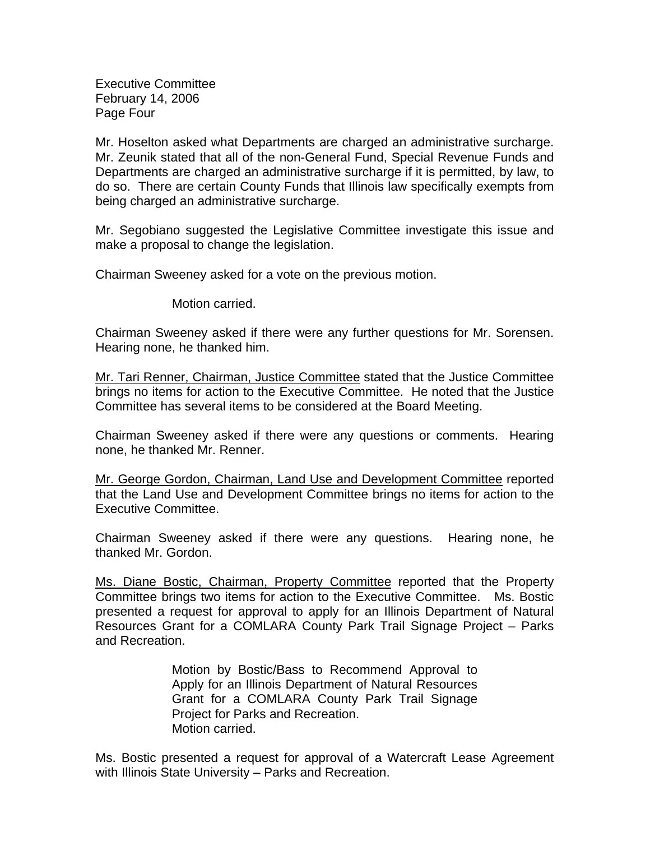Executive Committee February 14, 2006 Page Four

Mr. Hoselton asked what Departments are charged an administrative surcharge. Mr. Zeunik stated that all of the non-General Fund, Special Revenue Funds and Departments are charged an administrative surcharge if it is permitted, by law, to do so. There are certain County Funds that Illinois law specifically exempts from being charged an administrative surcharge.

Mr. Segobiano suggested the Legislative Committee investigate this issue and make a proposal to change the legislation.

Chairman Sweeney asked for a vote on the previous motion.

Motion carried.

Chairman Sweeney asked if there were any further questions for Mr. Sorensen. Hearing none, he thanked him.

Mr. Tari Renner, Chairman, Justice Committee stated that the Justice Committee brings no items for action to the Executive Committee. He noted that the Justice Committee has several items to be considered at the Board Meeting.

Chairman Sweeney asked if there were any questions or comments. Hearing none, he thanked Mr. Renner.

Mr. George Gordon, Chairman, Land Use and Development Committee reported that the Land Use and Development Committee brings no items for action to the Executive Committee.

Chairman Sweeney asked if there were any questions. Hearing none, he thanked Mr. Gordon.

Ms. Diane Bostic, Chairman, Property Committee reported that the Property Committee brings two items for action to the Executive Committee. Ms. Bostic presented a request for approval to apply for an Illinois Department of Natural Resources Grant for a COMLARA County Park Trail Signage Project – Parks and Recreation.

> Motion by Bostic/Bass to Recommend Approval to Apply for an Illinois Department of Natural Resources Grant for a COMLARA County Park Trail Signage Project for Parks and Recreation. Motion carried.

Ms. Bostic presented a request for approval of a Watercraft Lease Agreement with Illinois State University – Parks and Recreation.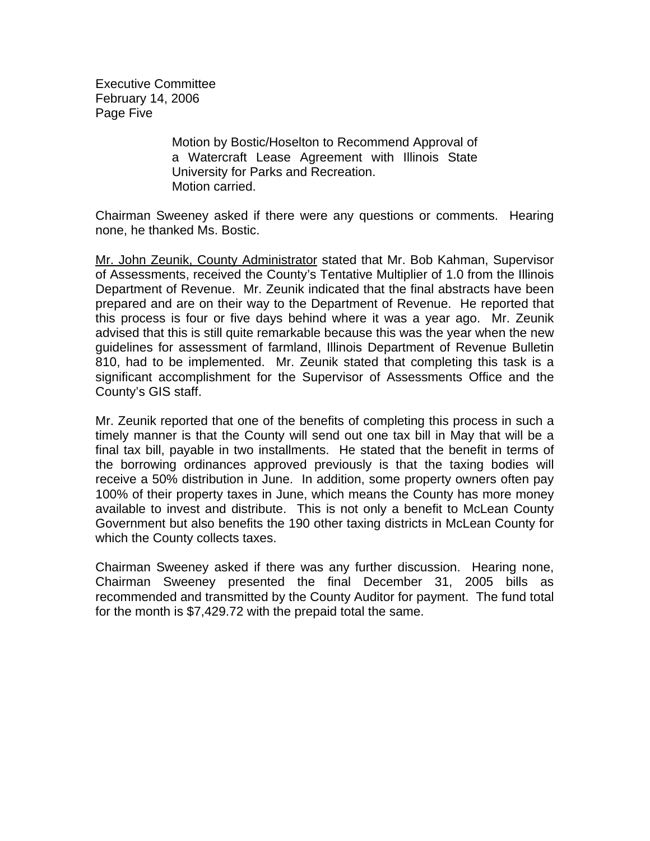Executive Committee February 14, 2006 Page Five

> Motion by Bostic/Hoselton to Recommend Approval of a Watercraft Lease Agreement with Illinois State University for Parks and Recreation. Motion carried.

Chairman Sweeney asked if there were any questions or comments. Hearing none, he thanked Ms. Bostic.

Mr. John Zeunik, County Administrator stated that Mr. Bob Kahman, Supervisor of Assessments, received the County's Tentative Multiplier of 1.0 from the Illinois Department of Revenue. Mr. Zeunik indicated that the final abstracts have been prepared and are on their way to the Department of Revenue. He reported that this process is four or five days behind where it was a year ago. Mr. Zeunik advised that this is still quite remarkable because this was the year when the new guidelines for assessment of farmland, Illinois Department of Revenue Bulletin 810, had to be implemented. Mr. Zeunik stated that completing this task is a significant accomplishment for the Supervisor of Assessments Office and the County's GIS staff.

Mr. Zeunik reported that one of the benefits of completing this process in such a timely manner is that the County will send out one tax bill in May that will be a final tax bill, payable in two installments. He stated that the benefit in terms of the borrowing ordinances approved previously is that the taxing bodies will receive a 50% distribution in June. In addition, some property owners often pay 100% of their property taxes in June, which means the County has more money available to invest and distribute. This is not only a benefit to McLean County Government but also benefits the 190 other taxing districts in McLean County for which the County collects taxes.

Chairman Sweeney asked if there was any further discussion. Hearing none, Chairman Sweeney presented the final December 31, 2005 bills as recommended and transmitted by the County Auditor for payment. The fund total for the month is \$7,429.72 with the prepaid total the same.